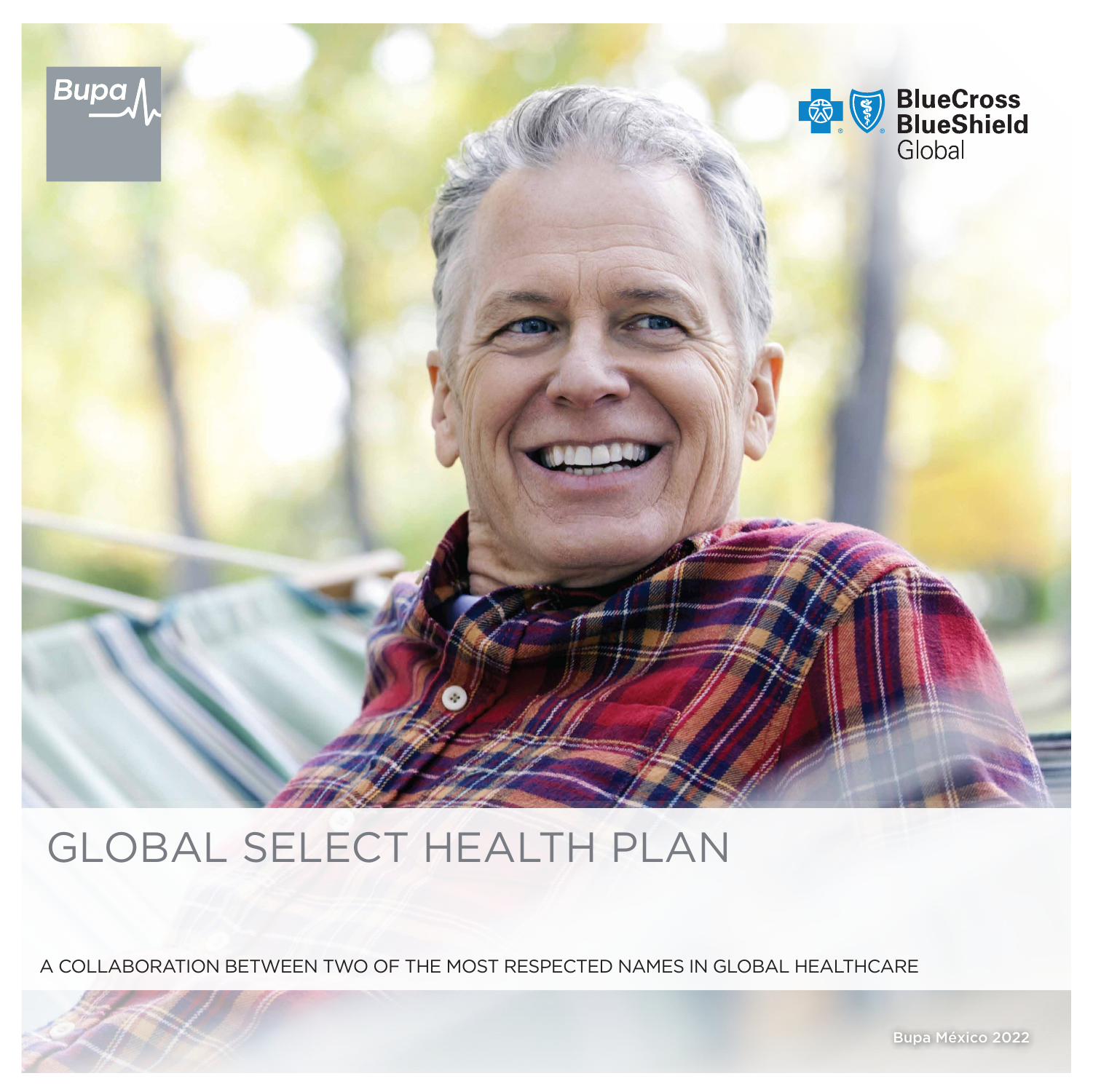

# GLOBAL SELECT HEALTH PLAN

A COLLABORATION BETWEEN TWO OF THE MOST RESPECTED NAMES IN GLOBAL HEALTHCARE

Bupa México 2022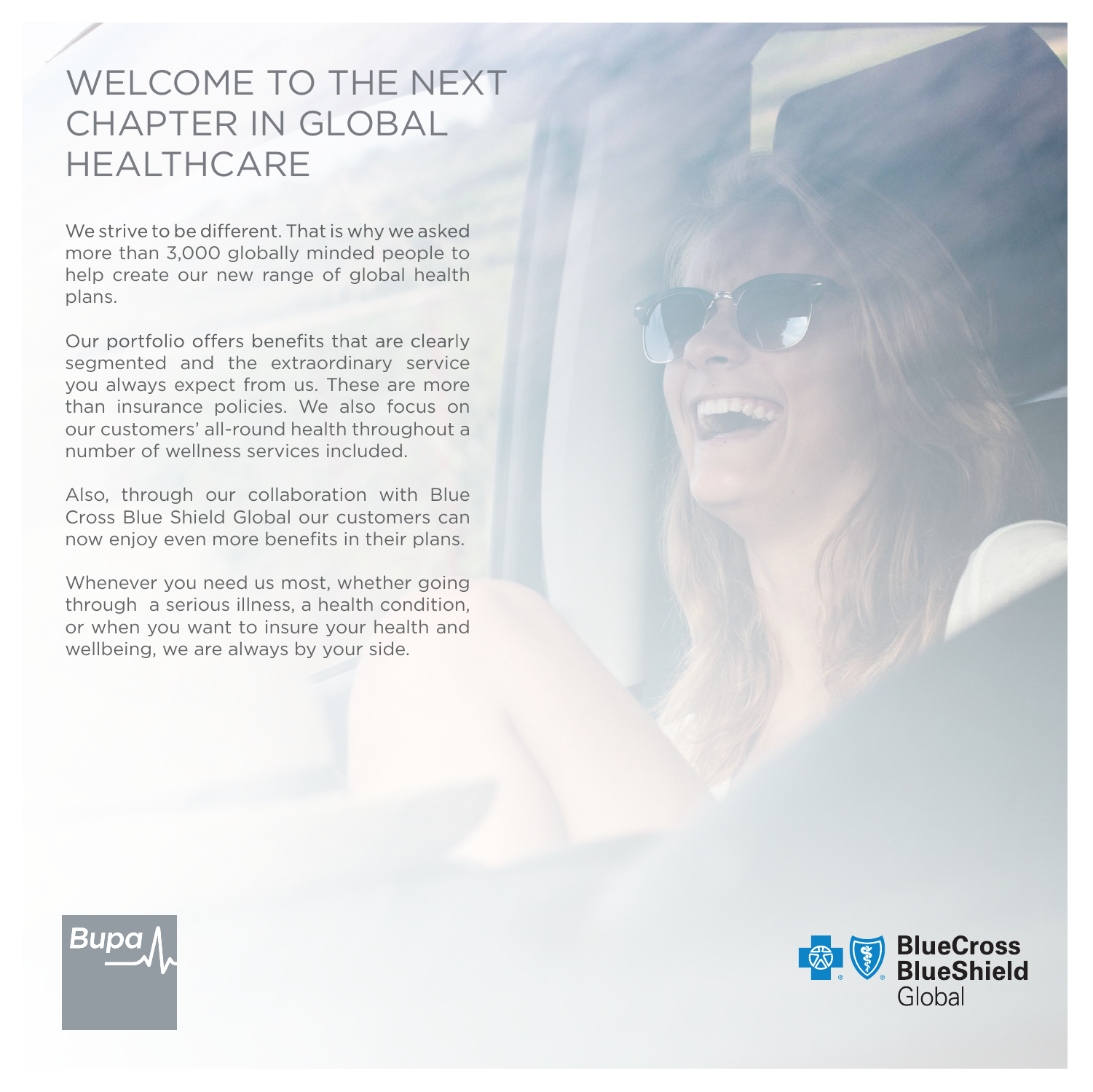### WELCOME TO THE NEXT CHAPTER IN GLOBAL HEALTHCARE

We strive to be different. That is why we asked more than 3,000 globally minded people to help create our new range of global health plans.

Our portfolio offers benefits that are clearly segmented and the extraordinary service you always expect from us. These are more than insurance policies. We also focus on our customers' all-round health throughout a number of wellness services included.

Also, through our collaboration with Blue Cross Blue Shield Global our customers can now enjoy even more benefits in their plans.

Whenever you need us most, whether going through a serious illness, a health condition, or when you want to insure your health and wellbeing, we are always by your side.



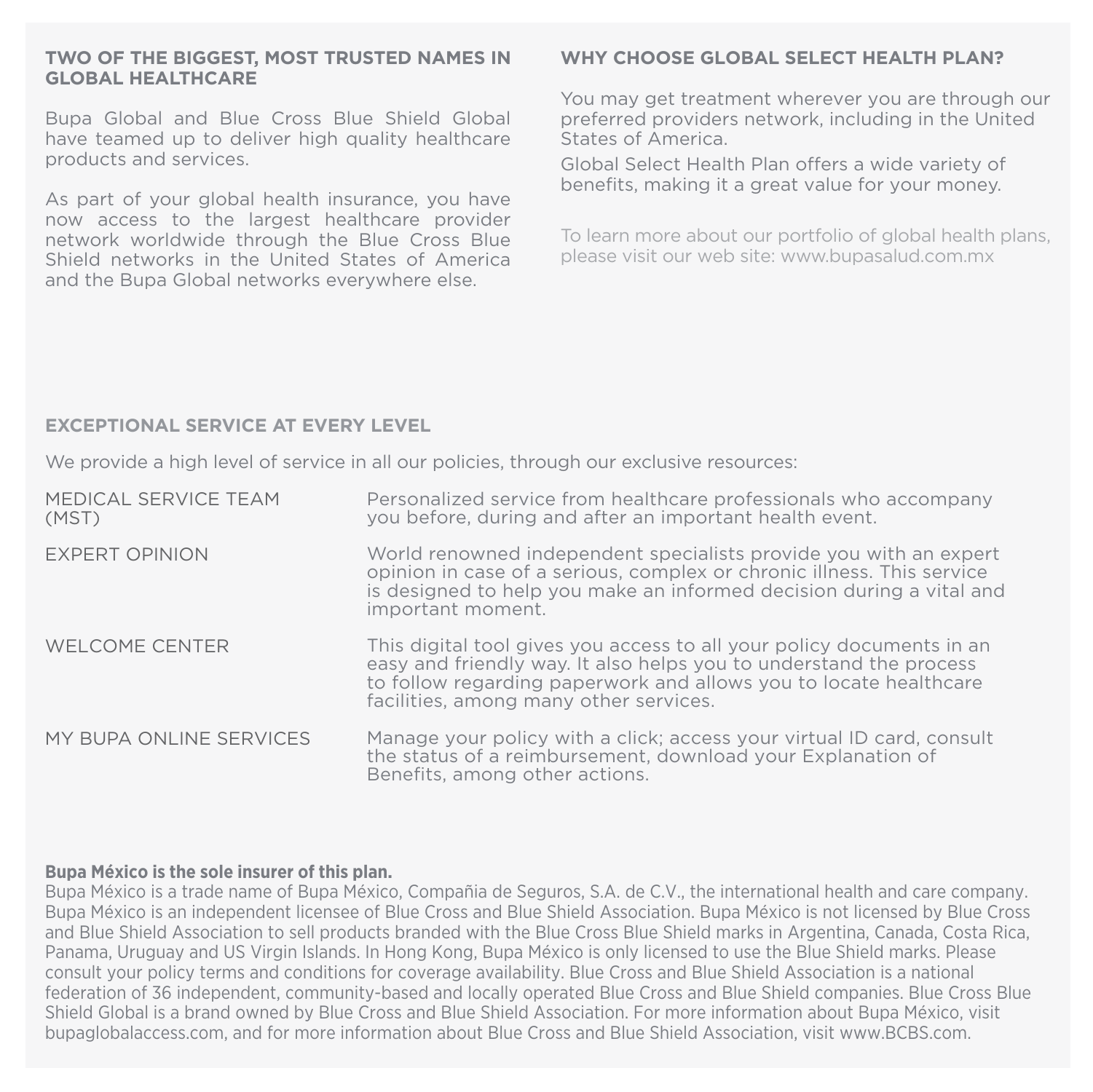#### **TWO OF THE BIGGEST, MOST TRUSTED NAMES IN GLOBAL HEALTHCARE**

Bupa Global and Blue Cross Blue Shield Global have teamed up to deliver high quality healthcare products and services.

As part of your global health insurance, you have now access to the largest healthcare provider network worldwide through the Blue Cross Blue Shield networks in the United States of America and the Bupa Global networks everywhere else.

### **WHY CHOOSE GLOBAL SELECT HEALTH PLAN?**

You may get treatment wherever you are through our preferred providers network, including in the United States of America.

Global Select Health Plan offers a wide variety of benefits, making it a great value for your money.

To learn more about our portfolio of global health plans, please visit our web site: [www.bupasalud.com.mx](http://www.bupasalud.com.mx)

#### **EXCEPTIONAL SERVICE AT EVERY LEVEL**

We provide a high level of service in all our policies, through our exclusive resources:

| MEDICAL SERVICE TEAM<br>(MST) | Personalized service from healthcare professionals who accompany<br>you before, during and after an important health event.                                                                                                                                |
|-------------------------------|------------------------------------------------------------------------------------------------------------------------------------------------------------------------------------------------------------------------------------------------------------|
| <b>EXPERT OPINION</b>         | World renowned independent specialists provide you with an expert<br>opinion in case of a serious, complex or chronic illness. This service<br>is designed to help you make an informed decision during a vital and<br>important moment.                   |
| <b>WELCOME CENTER</b>         | This digital tool gives you access to all your policy documents in an<br>easy and friendly way. It also helps you to understand the process<br>to follow regarding paperwork and allows you to locate healthcare<br>facilities, among many other services. |
| MY BUPA ONLINE SERVICES       | Manage your policy with a click; access your virtual ID card, consult<br>the status of a reimbursement, download your Explanation of<br>Benefits, among other actions.                                                                                     |

#### **Bupa México is the sole insurer of this plan.**

Bupa México is a trade name of Bupa México, Compañia de Seguros, S.A. de C.V., the international health and care company. Bupa México is an independent licensee of Blue Cross and Blue Shield Association. Bupa México is not licensed by Blue Cross and Blue Shield Association to sell products branded with the Blue Cross Blue Shield marks in Argentina, Canada, Costa Rica, Panama, Uruguay and US Virgin Islands. In Hong Kong, Bupa México is only licensed to use the Blue Shield marks. Please consult your policy terms and conditions for coverage availability. Blue Cross and Blue Shield Association is a national federation of 36 independent, community-based and locally operated Blue Cross and Blue Shield companies. Blue Cross Blue Shield Global is a brand owned by Blue Cross and Blue Shield Association. For more information about Bupa México, visit bupaglobalaccess.com, and for more information about Blue Cross and Blue Shield Association, visit [www.BCBS.com.](http://www.BCBS.com)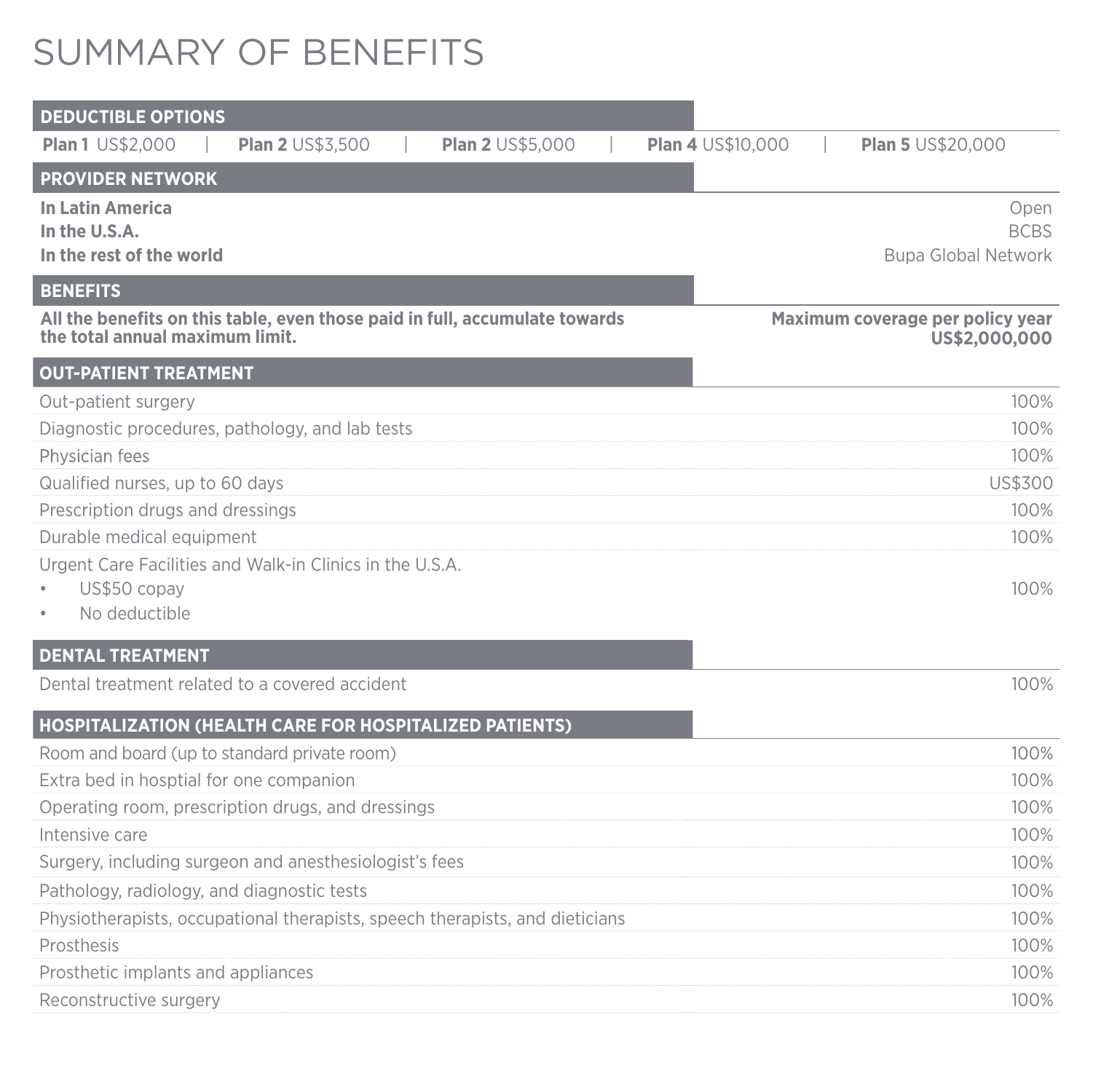# SUMMARY OF BENEFITS

| <b>DEDUCTIBLE OPTIONS</b>                                                                                      |                                                      |
|----------------------------------------------------------------------------------------------------------------|------------------------------------------------------|
| <b>Plan 1 US\$2,000</b><br><b>Plan 2 US\$3,500</b><br><b>Plan 2 US\$5,000</b>                                  | <b>Plan 4 US\$10,000</b><br><b>Plan 5 US\$20,000</b> |
| <b>PROVIDER NETWORK</b>                                                                                        |                                                      |
| <b>In Latin America</b><br>In the U.S.A.<br>In the rest of the world                                           | Open<br><b>BCBS</b><br>Bupa Global Network           |
| <b>BENEFITS</b>                                                                                                |                                                      |
| All the benefits on this table, even those paid in full, accumulate towards<br>the total annual maximum limit. | Maximum coverage per policy year<br>US\$2,000,000    |
| <b>OUT-PATIENT TREATMENT</b>                                                                                   |                                                      |
| Out-patient surgery                                                                                            | 100%                                                 |
| Diagnostic procedures, pathology, and lab tests                                                                | 100%                                                 |
| Physician fees                                                                                                 | 100%                                                 |
| Qualified nurses, up to 60 days                                                                                | <b>US\$300</b>                                       |
| Prescription drugs and dressings                                                                               | 100%                                                 |
| Durable medical equipment                                                                                      | 100%                                                 |
| Urgent Care Facilities and Walk-in Clinics in the U.S.A.<br>US\$50 copay<br>No deductible<br>$\bullet$         | 100%                                                 |
| <b>DENTAL TREATMENT</b>                                                                                        |                                                      |
| Dental treatment related to a covered accident                                                                 | 100%                                                 |
| HOSPITALIZATION (HEALTH CARE FOR HOSPITALIZED PATIENTS)                                                        |                                                      |
| Room and board (up to standard private room)                                                                   | 100%                                                 |
| Extra bed in hosptial for one companion                                                                        | 100%                                                 |
| Operating room, prescription drugs, and dressings                                                              | 100%                                                 |
| Intensive care                                                                                                 | 100%                                                 |
| Surgery, including surgeon and anesthesiologist's fees                                                         | 100%                                                 |
| Pathology, radiology, and diagnostic tests                                                                     | 100%                                                 |
| Physiotherapists, occupational therapists, speech therapists, and dieticians                                   | 100%                                                 |
| Prosthesis                                                                                                     | 100%                                                 |
| Prosthetic implants and appliances                                                                             | 100%                                                 |
| Reconstructive surgery                                                                                         | 100%                                                 |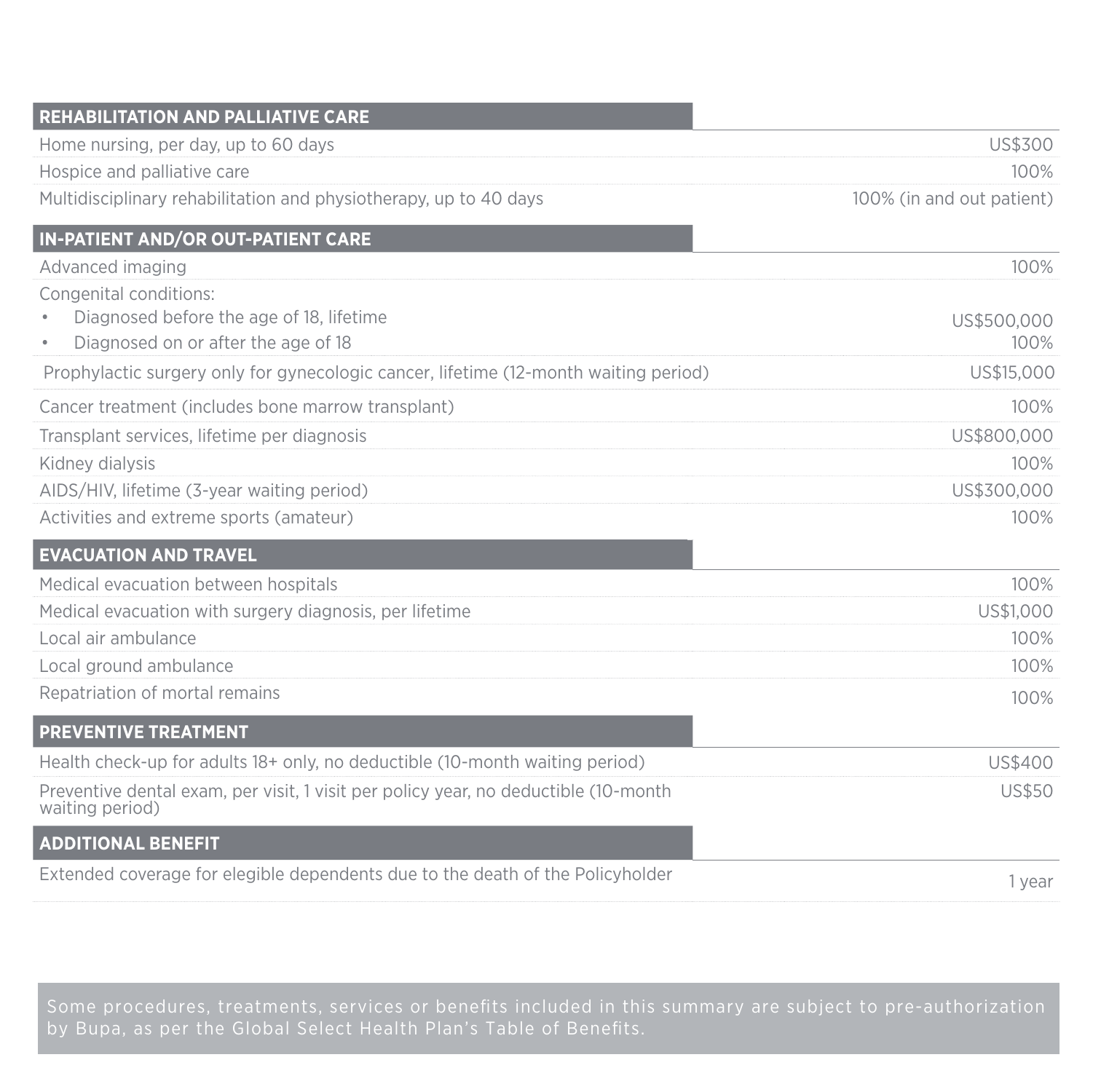| <b>REHABILITATION AND PALLIATIVE CARE</b>                                                              |                           |
|--------------------------------------------------------------------------------------------------------|---------------------------|
| Home nursing, per day, up to 60 days                                                                   | US\$300                   |
| Hospice and palliative care                                                                            | 100%                      |
| Multidisciplinary rehabilitation and physiotherapy, up to 40 days                                      | 100% (in and out patient) |
| <b>IN-PATIENT AND/OR OUT-PATIENT CARE</b>                                                              |                           |
| Advanced imaging                                                                                       | 100%                      |
| Congenital conditions:                                                                                 |                           |
| Diagnosed before the age of 18, lifetime                                                               | US\$500,000               |
| Diagnosed on or after the age of 18                                                                    | 100%                      |
| Prophylactic surgery only for gynecologic cancer, lifetime (12-month waiting period)                   | US\$15,000                |
| Cancer treatment (includes bone marrow transplant)                                                     | 100%                      |
| Transplant services, lifetime per diagnosis                                                            | US\$800,000               |
| Kidney dialysis                                                                                        | 100%                      |
| AIDS/HIV, lifetime (3-year waiting period)                                                             | US\$300,000               |
| Activities and extreme sports (amateur)                                                                | 100%                      |
| <b>EVACUATION AND TRAVEL</b>                                                                           |                           |
| Medical evacuation between hospitals                                                                   | 100%                      |
| Medical evacuation with surgery diagnosis, per lifetime                                                | US\$1,000                 |
| Local air ambulance                                                                                    | 100%                      |
| Local ground ambulance                                                                                 | 100%                      |
| Repatriation of mortal remains                                                                         | 100%                      |
| <b>PREVENTIVE TREATMENT</b>                                                                            |                           |
| Health check-up for adults 18+ only, no deductible (10-month waiting period)                           | US\$400                   |
| Preventive dental exam, per visit, 1 visit per policy year, no deductible (10-month<br>waiting period) | <b>US\$50</b>             |
| <b>ADDITIONAL BENEFIT</b>                                                                              |                           |
| Extended coverage for elegible dependents due to the death of the Policyholder                         | 1 year                    |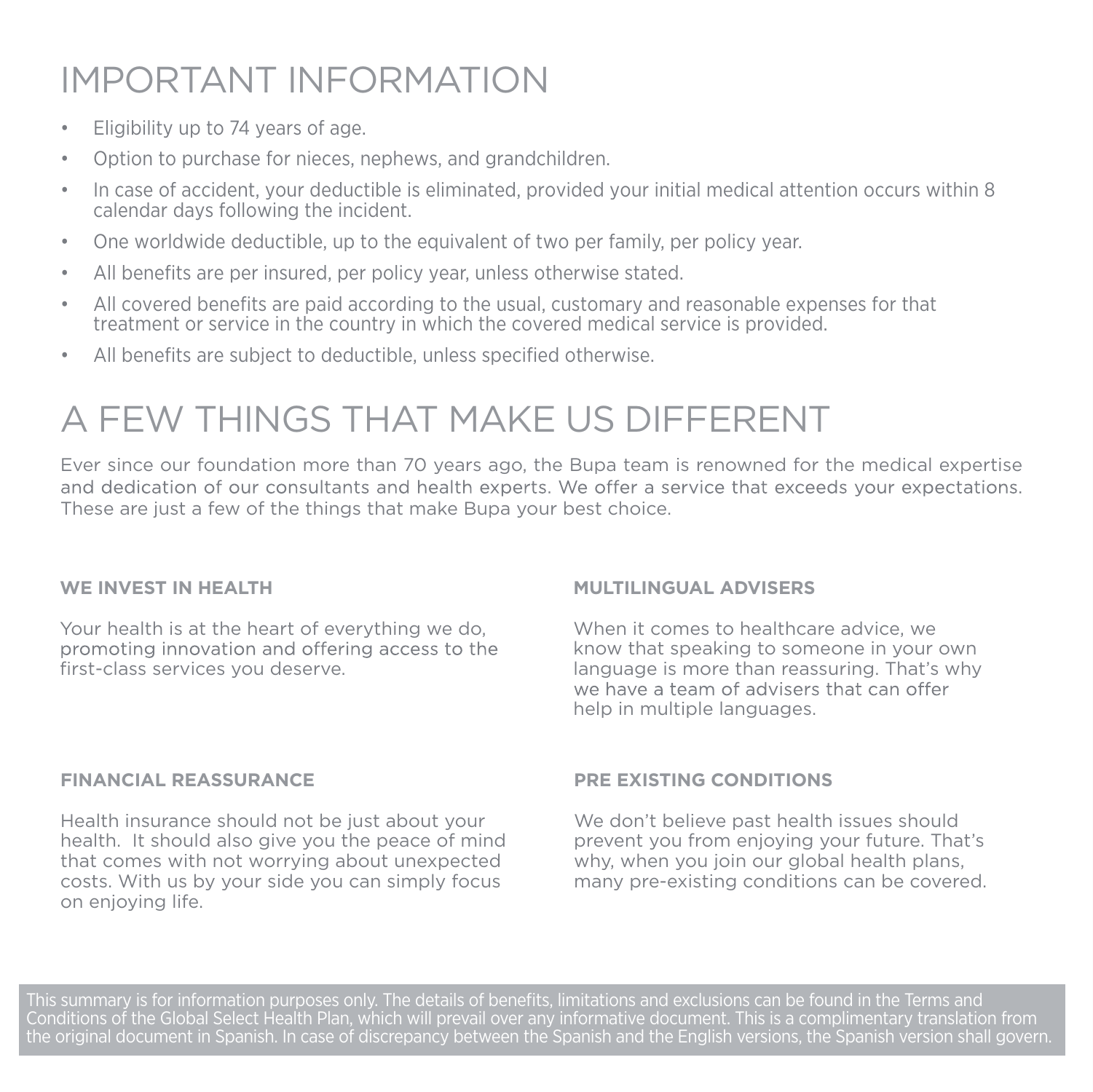# IMPORTANT INFORMATION

- Eligibility up to 74 years of age.
- Option to purchase for nieces, nephews, and grandchildren.
- In case of accident, your deductible is eliminated, provided your initial medical attention occurs within 8 calendar days following the incident.
- One worldwide deductible, up to the equivalent of two per family, per policy year.
- All benefits are per insured, per policy year, unless otherwise stated.
- All covered benefits are paid according to the usual, customary and reasonable expenses for that treatment or service in the country in which the covered medical service is provided.
- All benefits are subject to deductible, unless specified otherwise.

# A FEW THINGS THAT MAKE US DIFFERENT

Ever since our foundation more than 70 years ago, the Bupa team is renowned for the medical expertise and dedication of our consultants and health experts. We offer a service that exceeds your expectations. These are just a few of the things that make Bupa your best choice.

### **WE INVEST IN HEALTH**

Your health is at the heart of everything we do, promoting innovation and offering access to the first-class services you deserve.

### **MULTILINGUAL ADVISERS**

When it comes to healthcare advice, we know that speaking to someone in your own language is more than reassuring. That's why we have a team of advisers that can offer help in multiple languages.

### **FINANCIAL REASSURANCE**

Health insurance should not be just about your health. It should also give you the peace of mind that comes with not worrying about unexpected costs. With us by your side you can simply focus on enjoying life.

### **PRE EXISTING CONDITIONS**

We don't believe past health issues should prevent you from enjoying your future. That's why, when you join our global health plans. many pre-existing conditions can be covered.

Conditions of the Global Select Health Plan, which will prevail over any informative document. This is a complimentary translation from the original document in Spanish. In case of discrepancy between the Spanish and the English versions, the Spanish version shall govern.